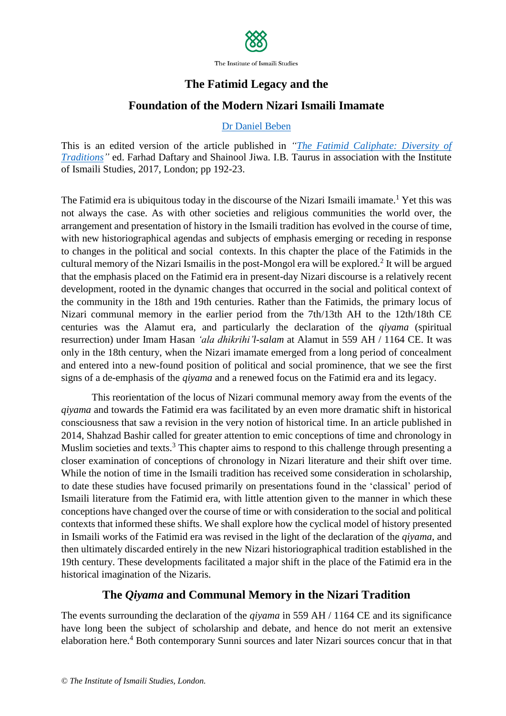

# **The Fatimid Legacy and the**

# **Foundation of the Modern Nizari Ismaili Imamate**

#### [Dr Daniel Beben](https://iis.ac.uk/people/dr-daniel-beben)

This is an edited version of the article published in *["The Fatimid Caliphate: Diversity of](https://iis.ac.uk/publication/fatimid-caliphate-diversity-traditions)  [Traditions"](https://iis.ac.uk/publication/fatimid-caliphate-diversity-traditions)* ed. Farhad Daftary and Shainool Jiwa. I.B. Taurus in association with the Institute of Ismaili Studies, 2017, London; pp 192-23.

The Fatimid era is ubiquitous today in the discourse of the Nizari Ismaili imamate.<sup>1</sup> Yet this was not always the case. As with other societies and religious communities the world over, the arrangement and presentation of history in the Ismaili tradition has evolved in the course of time, with new historiographical agendas and subjects of emphasis emerging or receding in response to changes in the political and social contexts. In this chapter the place of the Fatimids in the cultural memory of the Nizari Ismailis in the post-Mongol era will be explored.<sup>2</sup> It will be argued that the emphasis placed on the Fatimid era in present-day Nizari discourse is a relatively recent development, rooted in the dynamic changes that occurred in the social and political context of the community in the 18th and 19th centuries. Rather than the Fatimids, the primary locus of Nizari communal memory in the earlier period from the 7th/13th AH to the 12th/18th CE centuries was the Alamut era, and particularly the declaration of the *qiyama* (spiritual resurrection) under Imam Hasan *'ala dhikrihi'l*-*salam* at Alamut in 559 AH / 1164 CE. It was only in the 18th century, when the Nizari imamate emerged from a long period of concealment and entered into a new-found position of political and social prominence, that we see the first signs of a de-emphasis of the *qiyama* and a renewed focus on the Fatimid era and its legacy.

This reorientation of the locus of Nizari communal memory away from the events of the *qiyama* and towards the Fatimid era was facilitated by an even more dramatic shift in historical consciousness that saw a revision in the very notion of historical time. In an article published in 2014, Shahzad Bashir called for greater attention to emic conceptions of time and chronology in Muslim societies and texts.<sup>3</sup> This chapter aims to respond to this challenge through presenting a closer examination of conceptions of chronology in Nizari literature and their shift over time. While the notion of time in the Ismaili tradition has received some consideration in scholarship, to date these studies have focused primarily on presentations found in the 'classical' period of Ismaili literature from the Fatimid era, with little attention given to the manner in which these conceptions have changed over the course of time or with consideration to the social and political contexts that informed these shifts. We shall explore how the cyclical model of history presented in Ismaili works of the Fatimid era was revised in the light of the declaration of the *qiyama*, and then ultimately discarded entirely in the new Nizari historiographical tradition established in the 19th century. These developments facilitated a major shift in the place of the Fatimid era in the historical imagination of the Nizaris.

## **The** *Qiyama* **and Communal Memory in the Nizari Tradition**

The events surrounding the declaration of the *qiyama* in 559 AH / 1164 CE and its significance have long been the subject of scholarship and debate, and hence do not merit an extensive elaboration here.<sup>4</sup> Both contemporary Sunni sources and later Nizari sources concur that in that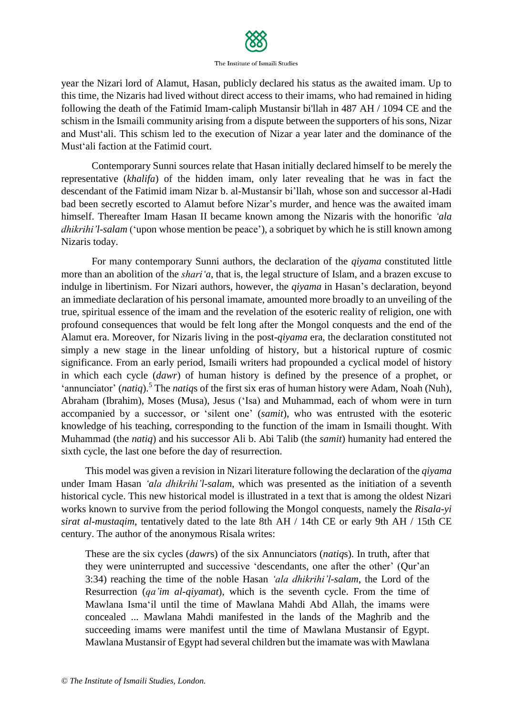

year the Nizari lord of Alamut, Hasan, publicly declared his status as the awaited imam. Up to this time, the Nizaris had lived without direct access to their imams, who had remained in hiding following the death of the Fatimid Imam-caliph Mustansir bi'llah in 487 AH / 1094 CE and the schism in the Ismaili community arising from a dispute between the supporters of his sons, Nizar and Must'ali. This schism led to the execution of Nizar a year later and the dominance of the Must'ali faction at the Fatimid court.

Contemporary Sunni sources relate that Hasan initially declared himself to be merely the representative (*khalifa*) of the hidden imam, only later revealing that he was in fact the descendant of the Fatimid imam Nizar b. al-Mustansir bi'llah, whose son and successor al-Hadi bad been secretly escorted to Alamut before Nizar's murder, and hence was the awaited imam himself. Thereafter Imam Hasan II became known among the Nizaris with the honorific *'ala dhikrihi'l-salam* ('upon whose mention be peace'), a sobriquet by which he is still known among Nizaris today.

For many contemporary Sunni authors, the declaration of the *qiyama* constituted little more than an abolition of the *shari'a*, that is, the legal structure of Islam, and a brazen excuse to indulge in libertinism. For Nizari authors, however, the *qiyama* in Hasan's declaration, beyond an immediate declaration of his personal imamate, amounted more broadly to an unveiling of the true, spiritual essence of the imam and the revelation of the esoteric reality of religion, one with profound consequences that would be felt long after the Mongol conquests and the end of the Alamut era. Moreover, for Nizaris living in the post-*qiyama* era, the declaration constituted not simply a new stage in the linear unfolding of history, but a historical rupture of cosmic significance. From an early period, Ismaili writers had propounded a cyclical model of history in which each cycle (*dawr*) of human history is defined by the presence of a prophet, or 'annunciator' (*natiq*).<sup>5</sup> The *natiq*s of the first six eras of human history were Adam, Noah (Nuh), Abraham (Ibrahim), Moses (Musa), Jesus ('Isa) and Muhammad, each of whom were in turn accompanied by a successor, or 'silent one' (*samit*), who was entrusted with the esoteric knowledge of his teaching, corresponding to the function of the imam in Ismaili thought. With Muhammad (the *natiq*) and his successor Ali b. Abi Talib (the *samit*) humanity had entered the sixth cycle, the last one before the day of resurrection.

This model was given a revision in Nizari literature following the declaration of the *qiyama* under Imam Hasan *'ala dhikrihi'l-salam*, which was presented as the initiation of a seventh historical cycle. This new historical model is illustrated in a text that is among the oldest Nizari works known to survive from the period following the Mongol conquests, namely the *Risala-yi sirat al-mustaqim*, tentatively dated to the late 8th AH / 14th CE or early 9th AH / 15th CE century. The author of the anonymous Risala writes:

These are the six cycles (*dawr*s) of the six Annunciators (*natiq*s). In truth, after that they were uninterrupted and successive 'descendants, one after the other' (Qur'an 3:34) reaching the time of the noble Hasan *'ala dhikrihi'l-salam*, the Lord of the Resurrection (*qa'im al-qiyamat*), which is the seventh cycle. From the time of Mawlana Isma'il until the time of Mawlana Mahdi Abd Allah, the imams were concealed ... Mawlana Mahdi manifested in the lands of the Maghrib and the succeeding imams were manifest until the time of Mawlana Mustansir of Egypt. Mawlana Mustansir of Egypt had several children but the imamate was with Mawlana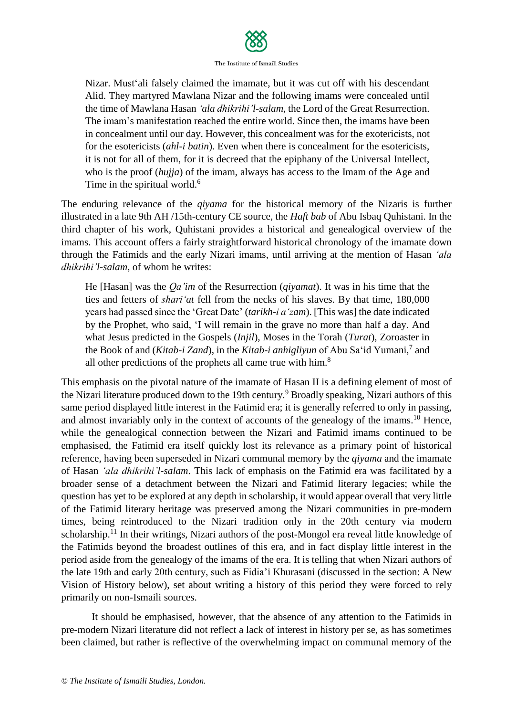

The Institute of Ismaili Studies

Nizar. Must'ali falsely claimed the imamate, but it was cut off with his descendant Alid. They martyred Mawlana Nizar and the following imams were concealed until the time of Mawlana Hasan *'ala dhikrihi'l-salam*, the Lord of the Great Resurrection. The imam's manifestation reached the entire world. Since then, the imams have been in concealment until our day. However, this concealment was for the exotericists, not for the esotericists (*ahl-i batin*). Even when there is concealment for the esotericists, it is not for all of them, for it is decreed that the epiphany of the Universal Intellect, who is the proof (*hujja*) of the imam, always has access to the Imam of the Age and Time in the spiritual world.<sup>6</sup>

The enduring relevance of the *qiyama* for the historical memory of the Nizaris is further illustrated in a late 9th AH /15th-century CE source, the *Haft bab* of Abu Isbaq Quhistani. In the third chapter of his work, Quhistani provides a historical and genealogical overview of the imams. This account offers a fairly straightforward historical chronology of the imamate down through the Fatimids and the early Nizari imams, until arriving at the mention of Hasan *'ala dhikrihi'l-salam*, of whom he writes:

He [Hasan] was the *Qa'im* of the Resurrection (*qiyamat*). It was in his time that the ties and fetters of *shari'at* fell from the necks of his slaves. By that time, 180,000 years had passed since the 'Great Date' (*tarikh-i a'zam*). [This was] the date indicated by the Prophet, who said, 'I will remain in the grave no more than half a day. And what Jesus predicted in the Gospels (*Injil*), Moses in the Torah (*Turat*), Zoroaster in the Book of and (*Kitab-i Zand*), in the *Kitab-i anhigliyun* of Abu Sa'id Yumani,<sup>7</sup> and all other predictions of the prophets all came true with him.<sup>8</sup>

This emphasis on the pivotal nature of the imamate of Hasan II is a defining element of most of the Nizari literature produced down to the 19th century.<sup>9</sup> Broadly speaking, Nizari authors of this same period displayed little interest in the Fatimid era; it is generally referred to only in passing, and almost invariably only in the context of accounts of the genealogy of the imams.<sup>10</sup> Hence, while the genealogical connection between the Nizari and Fatimid imams continued to be emphasised, the Fatimid era itself quickly lost its relevance as a primary point of historical reference, having been superseded in Nizari communal memory by the *qiyama* and the imamate of Hasan *'ala dhikrihi'l-salam*. This lack of emphasis on the Fatimid era was facilitated by a broader sense of a detachment between the Nizari and Fatimid literary legacies; while the question has yet to be explored at any depth in scholarship, it would appear overall that very little of the Fatimid literary heritage was preserved among the Nizari communities in pre-modern times, being reintroduced to the Nizari tradition only in the 20th century via modern scholarship.<sup>11</sup> In their writings, Nizari authors of the post-Mongol era reveal little knowledge of the Fatimids beyond the broadest outlines of this era, and in fact display little interest in the period aside from the genealogy of the imams of the era. It is telling that when Nizari authors of the late 19th and early 20th century, such as Fidia'i Khurasani (discussed in the section: A New Vision of History below), set about writing a history of this period they were forced to rely primarily on non-Ismaili sources.

It should be emphasised, however, that the absence of any attention to the Fatimids in pre-modern Nizari literature did not reflect a lack of interest in history per se, as has sometimes been claimed, but rather is reflective of the overwhelming impact on communal memory of the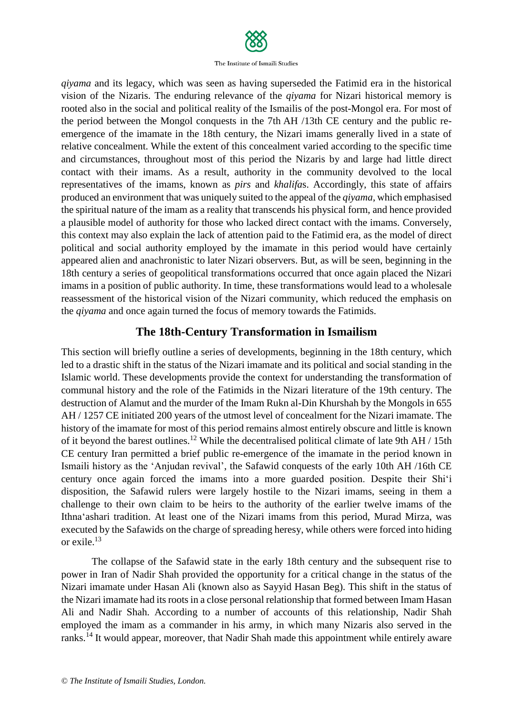

The Institute of Ismaili Studies

*qiyama* and its legacy, which was seen as having superseded the Fatimid era in the historical vision of the Nizaris. The enduring relevance of the *qiyama* for Nizari historical memory is rooted also in the social and political reality of the Ismailis of the post-Mongol era. For most of the period between the Mongol conquests in the 7th AH /13th CE century and the public reemergence of the imamate in the 18th century, the Nizari imams generally lived in a state of relative concealment. While the extent of this concealment varied according to the specific time and circumstances, throughout most of this period the Nizaris by and large had little direct contact with their imams. As a result, authority in the community devolved to the local representatives of the imams, known as *pirs* and *khalifa*s. Accordingly, this state of affairs produced an environment that was uniquely suited to the appeal of the *qiyama*, which emphasised the spiritual nature of the imam as a reality that transcends his physical form, and hence provided a plausible model of authority for those who lacked direct contact with the imams. Conversely, this context may also explain the lack of attention paid to the Fatimid era, as the model of direct political and social authority employed by the imamate in this period would have certainly appeared alien and anachronistic to later Nizari observers. But, as will be seen, beginning in the 18th century a series of geopolitical transformations occurred that once again placed the Nizari imams in a position of public authority. In time, these transformations would lead to a wholesale reassessment of the historical vision of the Nizari community, which reduced the emphasis on the *qiyama* and once again turned the focus of memory towards the Fatimids.

### **The 18th-Century Transformation in Ismailism**

This section will briefly outline a series of developments, beginning in the 18th century, which led to a drastic shift in the status of the Nizari imamate and its political and social standing in the Islamic world. These developments provide the context for understanding the transformation of communal history and the role of the Fatimids in the Nizari literature of the 19th century. The destruction of Alamut and the murder of the Imam Rukn al-Din Khurshah by the Mongols in 655 AH / 1257 CE initiated 200 years of the utmost level of concealment for the Nizari imamate. The history of the imamate for most of this period remains almost entirely obscure and little is known of it beyond the barest outlines.<sup>12</sup> While the decentralised political climate of late 9th AH / 15th CE century Iran permitted a brief public re-emergence of the imamate in the period known in Ismaili history as the 'Anjudan revival', the Safawid conquests of the early 10th AH /16th CE century once again forced the imams into a more guarded position. Despite their Shi'i disposition, the Safawid rulers were largely hostile to the Nizari imams, seeing in them a challenge to their own claim to be heirs to the authority of the earlier twelve imams of the Ithna'ashari tradition. At least one of the Nizari imams from this period, Murad Mirza, was executed by the Safawids on the charge of spreading heresy, while others were forced into hiding or exile.<sup>13</sup>

The collapse of the Safawid state in the early 18th century and the subsequent rise to power in Iran of Nadir Shah provided the opportunity for a critical change in the status of the Nizari imamate under Hasan Ali (known also as Sayyid Hasan Beg). This shift in the status of the Nizari imamate had its roots in a close personal relationship that formed between Imam Hasan Ali and Nadir Shah. According to a number of accounts of this relationship, Nadir Shah employed the imam as a commander in his army, in which many Nizaris also served in the ranks.<sup>14</sup> It would appear, moreover, that Nadir Shah made this appointment while entirely aware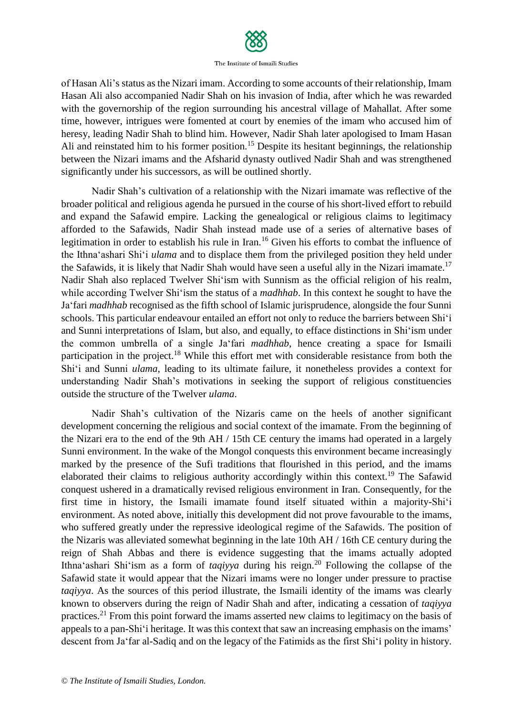

of Hasan Ali's status as the Nizari imam. According to some accounts of their relationship, Imam Hasan Ali also accompanied Nadir Shah on his invasion of India, after which he was rewarded with the governorship of the region surrounding his ancestral village of Mahallat. After some time, however, intrigues were fomented at court by enemies of the imam who accused him of heresy, leading Nadir Shah to blind him. However, Nadir Shah later apologised to Imam Hasan Ali and reinstated him to his former position.<sup>15</sup> Despite its hesitant beginnings, the relationship between the Nizari imams and the Afsharid dynasty outlived Nadir Shah and was strengthened significantly under his successors, as will be outlined shortly.

Nadir Shah's cultivation of a relationship with the Nizari imamate was reflective of the broader political and religious agenda he pursued in the course of his short-lived effort to rebuild and expand the Safawid empire. Lacking the genealogical or religious claims to legitimacy afforded to the Safawids, Nadir Shah instead made use of a series of alternative bases of legitimation in order to establish his rule in Iran.<sup>16</sup> Given his efforts to combat the influence of the Ithna'ashari Shi'i *ulama* and to displace them from the privileged position they held under the Safawids, it is likely that Nadir Shah would have seen a useful ally in the Nizari imamate.<sup>17</sup> Nadir Shah also replaced Twelver Shi'ism with Sunnism as the official religion of his realm, while according Twelver Shi'ism the status of a *madhhab*. In this context he sought to have the Ja'fari *madhhab* recognised as the fifth school of Islamic jurisprudence, alongside the four Sunni schools. This particular endeavour entailed an effort not only to reduce the barriers between Shi'i and Sunni interpretations of Islam, but also, and equally, to efface distinctions in Shi'ism under the common umbrella of a single Ja'fari *madhhab*, hence creating a space for Ismaili participation in the project.<sup>18</sup> While this effort met with considerable resistance from both the Shi'i and Sunni *ulama*, leading to its ultimate failure, it nonetheless provides a context for understanding Nadir Shah's motivations in seeking the support of religious constituencies outside the structure of the Twelver *ulama*.

Nadir Shah's cultivation of the Nizaris came on the heels of another significant development concerning the religious and social context of the imamate. From the beginning of the Nizari era to the end of the 9th AH / 15th CE century the imams had operated in a largely Sunni environment. In the wake of the Mongol conquests this environment became increasingly marked by the presence of the Sufi traditions that flourished in this period, and the imams elaborated their claims to religious authority accordingly within this context.<sup>19</sup> The Safawid conquest ushered in a dramatically revised religious environment in Iran. Consequently, for the first time in history, the Ismaili imamate found itself situated within a majority-Shi'i environment. As noted above, initially this development did not prove favourable to the imams, who suffered greatly under the repressive ideological regime of the Safawids. The position of the Nizaris was alleviated somewhat beginning in the late 10th AH / 16th CE century during the reign of Shah Abbas and there is evidence suggesting that the imams actually adopted Ithna'ashari Shi'ism as a form of *taqiyya* during his reign.<sup>20</sup> Following the collapse of the Safawid state it would appear that the Nizari imams were no longer under pressure to practise *taqiyya*. As the sources of this period illustrate, the Ismaili identity of the imams was clearly known to observers during the reign of Nadir Shah and after, indicating a cessation of *taqiyya* practices.<sup>21</sup> From this point forward the imams asserted new claims to legitimacy on the basis of appeals to a pan-Shi'i heritage. It was this context that saw an increasing emphasis on the imams' descent from Ja'far al-Sadiq and on the legacy of the Fatimids as the first Shi'i polity in history.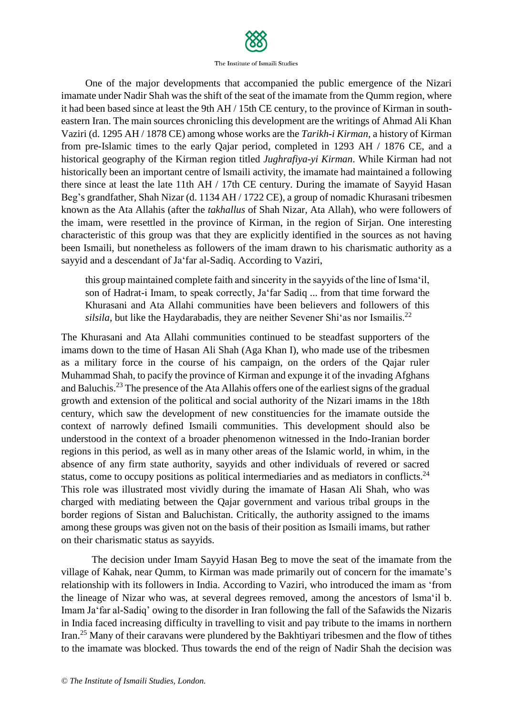

The Institute of Ismaili Studies

One of the major developments that accompanied the public emergence of the Nizari imamate under Nadir Shah was the shift of the seat of the imamate from the Qumm region, where it had been based since at least the 9th AH / 15th CE century, to the province of Kirman in southeastern Iran. The main sources chronicling this development are the writings of Ahmad Ali Khan Vaziri (d. 1295 AH / 1878 CE) among whose works are the *Tarikh-i Kirman*, a history of Kirman from pre-Islamic times to the early Qajar period, completed in 1293 AH / 1876 CE, and a historical geography of the Kirman region titled *Jughrafiya-yi Kirman*. While Kirman had not historically been an important centre of lsmaili activity, the imamate had maintained a following there since at least the late 11th AH / 17th CE century. During the imamate of Sayyid Hasan Beg's grandfather, Shah Nizar (d. 1134 AH / 1722 CE), a group of nomadic Khurasani tribesmen known as the Ata Allahis (after the *takhallus* of Shah Nizar, Ata Allah), who were followers of the imam, were resettled in the province of Kirman, in the region of Sirjan. One interesting characteristic of this group was that they are explicitly identified in the sources as not having been Ismaili, but nonetheless as followers of the imam drawn to his charismatic authority as a sayyid and a descendant of Ja'far al-Sadiq. According to Vaziri,

this group maintained complete faith and sincerity in the sayyids of the line of Isma'il, son of Hadrat-i Imam, to speak correctly, Ja'far Sadiq ... from that time forward the Khurasani and Ata Allahi communities have been believers and followers of this *silsila*, but like the Haydarabadis, they are neither Sevener Shi'as nor Ismailis.<sup>22</sup>

The Khurasani and Ata Allahi communities continued to be steadfast supporters of the imams down to the time of Hasan Ali Shah (Aga Khan I), who made use of the tribesmen as a military force in the course of his campaign, on the orders of the Qajar ruler Muhammad Shah, to pacify the province of Kirman and expunge it of the invading Afghans and Baluchis.<sup>23</sup> The presence of the Ata Allahis offers one of the earliest signs of the gradual growth and extension of the political and social authority of the Nizari imams in the 18th century, which saw the development of new constituencies for the imamate outside the context of narrowly defined Ismaili communities. This development should also be understood in the context of a broader phenomenon witnessed in the Indo-Iranian border regions in this period, as well as in many other areas of the Islamic world, in whim, in the absence of any firm state authority, sayyids and other individuals of revered or sacred status, come to occupy positions as political intermediaries and as mediators in conflicts.<sup>24</sup> This role was illustrated most vividly during the imamate of Hasan Ali Shah, who was charged with mediating between the Qajar government and various tribal groups in the border regions of Sistan and Baluchistan. Critically, the authority assigned to the imams among these groups was given not on the basis of their position as Ismaili imams, but rather on their charismatic status as sayyids.

The decision under Imam Sayyid Hasan Beg to move the seat of the imamate from the village of Kahak, near Qumm, to Kirman was made primarily out of concern for the imamate's relationship with its followers in India. According to Vaziri, who introduced the imam as 'from the lineage of Nizar who was, at several degrees removed, among the ancestors of lsma'il b. Imam Ja'far al-Sadiq' owing to the disorder in Iran following the fall of the Safawids the Nizaris in India faced increasing difficulty in travelling to visit and pay tribute to the imams in northern Iran.<sup>25</sup> Many of their caravans were plundered by the Bakhtiyari tribesmen and the flow of tithes to the imamate was blocked. Thus towards the end of the reign of Nadir Shah the decision was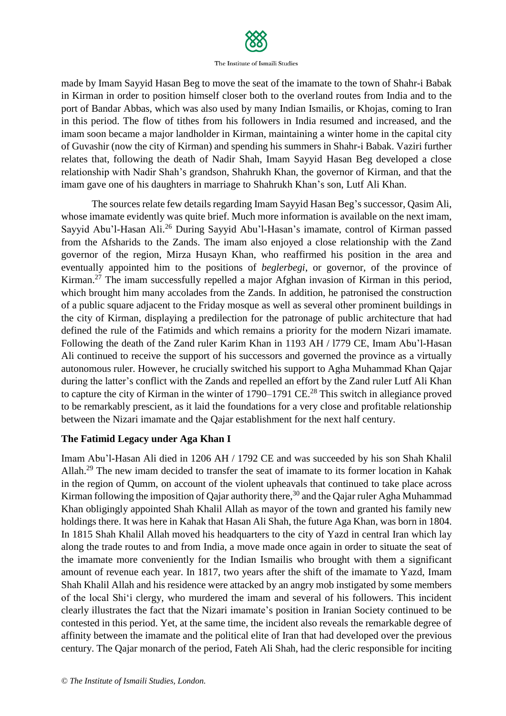

made by Imam Sayyid Hasan Beg to move the seat of the imamate to the town of Shahr-i Babak in Kirman in order to position himself closer both to the overland routes from India and to the port of Bandar Abbas, which was also used by many Indian Ismailis, or Khojas, coming to Iran in this period. The flow of tithes from his followers in India resumed and increased, and the imam soon became a major landholder in Kirman, maintaining a winter home in the capital city of Guvashir (now the city of Kirman) and spending his summers in Shahr-i Babak. Vaziri further relates that, following the death of Nadir Shah, Imam Sayyid Hasan Beg developed a close relationship with Nadir Shah's grandson, Shahrukh Khan, the governor of Kirman, and that the imam gave one of his daughters in marriage to Shahrukh Khan's son, Lutf Ali Khan.

The sources relate few details regarding Imam Sayyid Hasan Beg's successor, Qasim Ali, whose imamate evidently was quite brief. Much more information is available on the next imam, Sayyid Abu'l-Hasan Ali.<sup>26</sup> During Sayyid Abu'l-Hasan's imamate, control of Kirman passed from the Afsharids to the Zands. The imam also enjoyed a close relationship with the Zand governor of the region, Mirza Husayn Khan, who reaffirmed his position in the area and eventually appointed him to the positions of *beglerbegi*, or governor, of the province of Kirman.<sup>27</sup> The imam successfully repelled a major Afghan invasion of Kirman in this period, which brought him many accolades from the Zands. In addition, he patronised the construction of a public square adjacent to the Friday mosque as well as several other prominent buildings in the city of Kirman, displaying a predilection for the patronage of public architecture that had defined the rule of the Fatimids and which remains a priority for the modern Nizari imamate. Following the death of the Zand ruler Karim Khan in 1193 AH / l779 CE, Imam Abu'l-Hasan Ali continued to receive the support of his successors and governed the province as a virtually autonomous ruler. However, he crucially switched his support to Agha Muhammad Khan Qajar during the latter's conflict with the Zands and repelled an effort by the Zand ruler Lutf Ali Khan to capture the city of Kirman in the winter of  $1790-1791 \text{ CE.}^{28}$  This switch in allegiance proved to be remarkably prescient, as it laid the foundations for a very close and profitable relationship between the Nizari imamate and the Qajar establishment for the next half century.

#### **The Fatimid Legacy under Aga Khan I**

Imam Abu'l-Hasan Ali died in 1206 AH / 1792 CE and was succeeded by his son Shah Khalil Allah.<sup>29</sup> The new imam decided to transfer the seat of imamate to its former location in Kahak in the region of Qumm, on account of the violent upheavals that continued to take place across Kirman following the imposition of Qajar authority there,<sup>30</sup> and the Qajar ruler Agha Muhammad Khan obligingly appointed Shah Khalil Allah as mayor of the town and granted his family new holdings there. It was here in Kahak that Hasan Ali Shah, the future Aga Khan, was born in 1804. In 1815 Shah Khalil Allah moved his headquarters to the city of Yazd in central Iran which lay along the trade routes to and from India, a move made once again in order to situate the seat of the imamate more conveniently for the Indian Ismailis who brought with them a significant amount of revenue each year. In 1817, two years after the shift of the imamate to Yazd, Imam Shah Khalil Allah and his residence were attacked by an angry mob instigated by some members of the local Shi'i clergy, who murdered the imam and several of his followers. This incident clearly illustrates the fact that the Nizari imamate's position in Iranian Society continued to be contested in this period. Yet, at the same time, the incident also reveals the remarkable degree of affinity between the imamate and the political elite of Iran that had developed over the previous century. The Qajar monarch of the period, Fateh Ali Shah, had the cleric responsible for inciting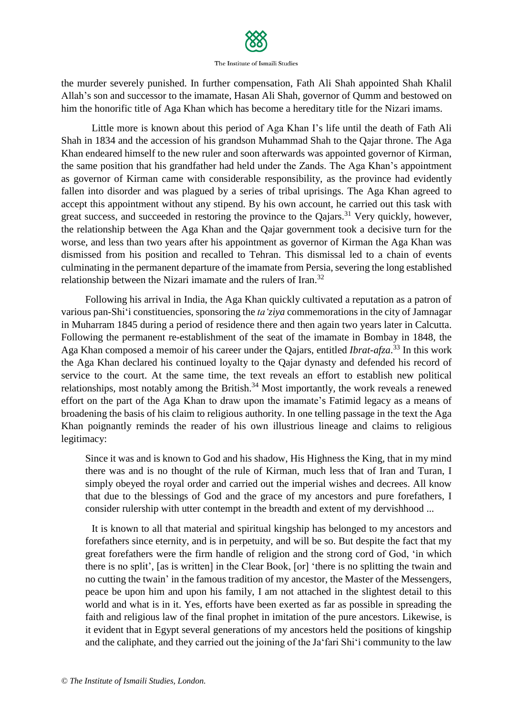

the murder severely punished. In further compensation, Fath Ali Shah appointed Shah Khalil Allah's son and successor to the imamate, Hasan Ali Shah, governor of Qumm and bestowed on him the honorific title of Aga Khan which has become a hereditary title for the Nizari imams.

Little more is known about this period of Aga Khan I's life until the death of Fath Ali Shah in 1834 and the accession of his grandson Muhammad Shah to the Qajar throne. The Aga Khan endeared himself to the new ruler and soon afterwards was appointed governor of Kirman, the same position that his grandfather had held under the Zands. The Aga Khan's appointment as governor of Kirman came with considerable responsibility, as the province had evidently fallen into disorder and was plagued by a series of tribal uprisings. The Aga Khan agreed to accept this appointment without any stipend. By his own account, he carried out this task with great success, and succeeded in restoring the province to the Qajars.<sup>31</sup> Very quickly, however, the relationship between the Aga Khan and the Qajar government took a decisive turn for the worse, and less than two years after his appointment as governor of Kirman the Aga Khan was dismissed from his position and recalled to Tehran. This dismissal led to a chain of events culminating in the permanent departure of the imamate from Persia, severing the long established relationship between the Nizari imamate and the rulers of Iran.<sup>32</sup>

Following his arrival in India, the Aga Khan quickly cultivated a reputation as a patron of various pan-Shi'i constituencies, sponsoring the *ta'ziya* commemorations in the city of Jamnagar in Muharram 1845 during a period of residence there and then again two years later in Calcutta. Following the permanent re-establishment of the seat of the imamate in Bombay in 1848, the Aga Khan composed a memoir of his career under the Qajars, entitled *Ibrat-afza*. <sup>33</sup> In this work the Aga Khan declared his continued loyalty to the Qajar dynasty and defended his record of service to the court. At the same time, the text reveals an effort to establish new political relationships, most notably among the British.<sup>34</sup> Most importantly, the work reveals a renewed effort on the part of the Aga Khan to draw upon the imamate's Fatimid legacy as a means of broadening the basis of his claim to religious authority. In one telling passage in the text the Aga Khan poignantly reminds the reader of his own illustrious lineage and claims to religious legitimacy:

Since it was and is known to God and his shadow, His Highness the King, that in my mind there was and is no thought of the rule of Kirman, much less that of Iran and Turan, I simply obeyed the royal order and carried out the imperial wishes and decrees. All know that due to the blessings of God and the grace of my ancestors and pure forefathers, I consider rulership with utter contempt in the breadth and extent of my dervishhood ...

It is known to all that material and spiritual kingship has belonged to my ancestors and forefathers since eternity, and is in perpetuity, and will be so. But despite the fact that my great forefathers were the firm handle of religion and the strong cord of God, 'in which there is no split', [as is written] in the Clear Book, [or] 'there is no splitting the twain and no cutting the twain' in the famous tradition of my ancestor, the Master of the Messengers, peace be upon him and upon his family, I am not attached in the slightest detail to this world and what is in it. Yes, efforts have been exerted as far as possible in spreading the faith and religious law of the final prophet in imitation of the pure ancestors. Likewise, is it evident that in Egypt several generations of my ancestors held the positions of kingship and the caliphate, and they carried out the joining of the Ja'fari Shi'i community to the law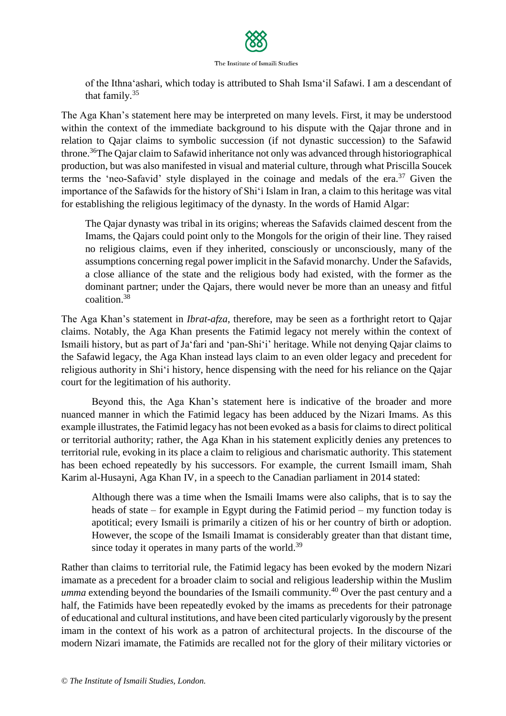

of the Ithna'ashari, which today is attributed to Shah Isma'il Safawi. I am a descendant of that family.<sup>35</sup>

The Aga Khan's statement here may be interpreted on many levels. First, it may be understood within the context of the immediate background to his dispute with the Qajar throne and in relation to Qajar claims to symbolic succession (if not dynastic succession) to the Safawid throne.<sup>36</sup>The Qajar claim to Safawid inheritance not only was advanced through historiographical production, but was also manifested in visual and material culture, through what Priscilla Soucek terms the 'neo-Safavid' style displayed in the coinage and medals of the era.<sup>37</sup> Given the importance of the Safawids for the history of Shi'i Islam in Iran, a claim to this heritage was vital for establishing the religious legitimacy of the dynasty. In the words of Hamid Algar:

The Qajar dynasty was tribal in its origins; whereas the Safavids claimed descent from the Imams, the Qajars could point only to the Mongols for the origin of their line. They raised no religious claims, even if they inherited, consciously or unconsciously, many of the assumptions concerning regal power implicit in the Safavid monarchy. Under the Safavids, a close alliance of the state and the religious body had existed, with the former as the dominant partner; under the Qajars, there would never be more than an uneasy and fitful coalition.<sup>38</sup>

The Aga Khan's statement in *Ibrat-afza*, therefore, may be seen as a forthright retort to Qajar claims. Notably, the Aga Khan presents the Fatimid legacy not merely within the context of Ismaili history, but as part of Ja'fari and 'pan-Shi'i' heritage. While not denying Qajar claims to the Safawid legacy, the Aga Khan instead lays claim to an even older legacy and precedent for religious authority in Shi'i history, hence dispensing with the need for his reliance on the Qajar court for the legitimation of his authority.

Beyond this, the Aga Khan's statement here is indicative of the broader and more nuanced manner in which the Fatimid legacy has been adduced by the Nizari Imams. As this example illustrates, the Fatimid legacy has not been evoked as a basis for claims to direct political or territorial authority; rather, the Aga Khan in his statement explicitly denies any pretences to territorial rule, evoking in its place a claim to religious and charismatic authority. This statement has been echoed repeatedly by his successors. For example, the current Ismaill imam, Shah Karim al-Husayni, Aga Khan IV, in a speech to the Canadian parliament in 2014 stated:

Although there was a time when the Ismaili Imams were also caliphs, that is to say the heads of state – for example in Egypt during the Fatimid period – my function today is apotitical; every Ismaili is primarily a citizen of his or her country of birth or adoption. However, the scope of the Ismaili Imamat is considerably greater than that distant time, since today it operates in many parts of the world.<sup>39</sup>

Rather than claims to territorial rule, the Fatimid legacy has been evoked by the modern Nizari imamate as a precedent for a broader claim to social and religious leadership within the Muslim *umma* extending beyond the boundaries of the Ismaili community.<sup>40</sup> Over the past century and a half, the Fatimids have been repeatedly evoked by the imams as precedents for their patronage of educational and cultural institutions, and have been cited particularly vigorously by the present imam in the context of his work as a patron of architectural projects. In the discourse of the modern Nizari imamate, the Fatimids are recalled not for the glory of their military victories or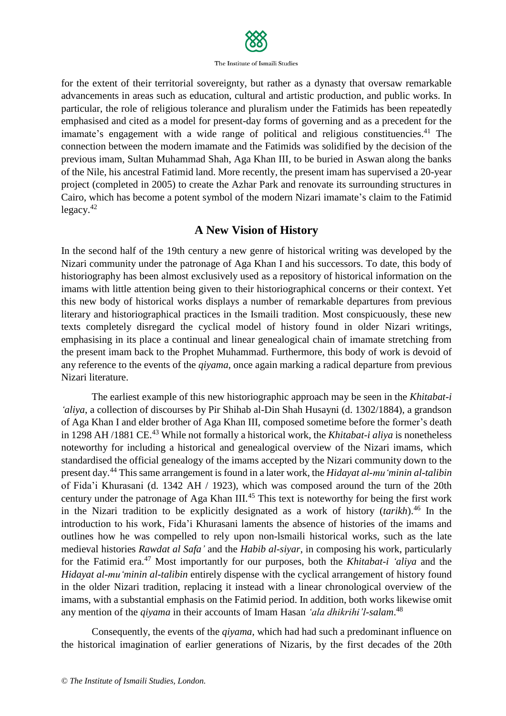

for the extent of their territorial sovereignty, but rather as a dynasty that oversaw remarkable advancements in areas such as education, cultural and artistic production, and public works. In particular, the role of religious tolerance and pluralism under the Fatimids has been repeatedly emphasised and cited as a model for present-day forms of governing and as a precedent for the imamate's engagement with a wide range of political and religious constituencies.<sup>41</sup> The connection between the modern imamate and the Fatimids was solidified by the decision of the previous imam, Sultan Muhammad Shah, Aga Khan III, to be buried in Aswan along the banks of the Nile, his ancestral Fatimid land. More recently, the present imam has supervised a 20-year project (completed in 2005) to create the Azhar Park and renovate its surrounding structures in Cairo, which has become a potent symbol of the modern Nizari imamate's claim to the Fatimid  $legacy.<sup>42</sup>$ 

### **A New Vision of History**

In the second half of the 19th century a new genre of historical writing was developed by the Nizari community under the patronage of Aga Khan I and his successors. To date, this body of historiography has been almost exclusively used as a repository of historical information on the imams with little attention being given to their historiographical concerns or their context. Yet this new body of historical works displays a number of remarkable departures from previous literary and historiographical practices in the Ismaili tradition. Most conspicuously, these new texts completely disregard the cyclical model of history found in older Nizari writings, emphasising in its place a continual and linear genealogical chain of imamate stretching from the present imam back to the Prophet Muhammad. Furthermore, this body of work is devoid of any reference to the events of the *qiyama*, once again marking a radical departure from previous Nizari literature.

The earliest example of this new historiographic approach may be seen in the *Khitabat-i 'aliya*, a collection of discourses by Pir Shihab al-Din Shah Husayni (d. 1302/1884), a grandson of Aga Khan I and elder brother of Aga Khan III, composed sometime before the former's death in 1298 AH /1881 CE. <sup>43</sup> While not formally a historical work, the *Khitabat-i aliya* is nonetheless noteworthy for including a historical and genealogical overview of the Nizari imams, which standardised the official genealogy of the imams accepted by the Nizari community down to the present day.<sup>44</sup> This same arrangement is found in a later work, the *Hidayat al-mu'minin al-talibin* of Fida'i Khurasani (d. 1342 AH / 1923), which was composed around the turn of the 20th century under the patronage of Aga Khan III. <sup>45</sup> This text is noteworthy for being the first work in the Nizari tradition to be explicitly designated as a work of history *(tarikh*).<sup>46</sup> In the introduction to his work, Fida'i Khurasani laments the absence of histories of the imams and outlines how he was compelled to rely upon non-lsmaili historical works, such as the late medieval histories *Rawdat al Safa'* and the *Habib al-siyar*, in composing his work, particularly for the Fatimid era.<sup>47</sup> Most importantly for our purposes, both the *Khitabat-i 'aliya* and the *Hidayat al-mu'minin al-talibin* entirely dispense with the cyclical arrangement of history found in the older Nizari tradition, replacing it instead with a linear chronological overview of the imams, with a substantial emphasis on the Fatimid period. In addition, both works likewise omit any mention of the *qiyama* in their accounts of Imam Hasan *'ala dhikrihi'l-salam*. 48

Consequently, the events of the *qiyama*, which had had such a predominant influence on the historical imagination of earlier generations of Nizaris, by the first decades of the 20th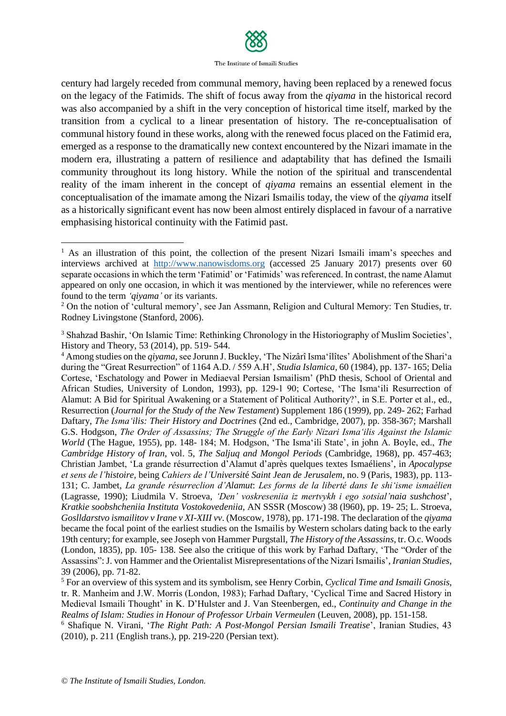

century had largely receded from communal memory, having been replaced by a renewed focus on the legacy of the Fatimids. The shift of focus away from the *qiyama* in the historical record was also accompanied by a shift in the very conception of historical time itself, marked by the transition from a cyclical to a linear presentation of history. The re-conceptualisation of communal history found in these works, along with the renewed focus placed on the Fatimid era, emerged as a response to the dramatically new context encountered by the Nizari imamate in the modern era, illustrating a pattern of resilience and adaptability that has defined the Ismaili community throughout its long history. While the notion of the spiritual and transcendental reality of the imam inherent in the concept of *qiyama* remains an essential element in the conceptualisation of the imamate among the Nizari Ismailis today, the view of the *qiyama* itself as a historically significant event has now been almost entirely displaced in favour of a narrative emphasising historical continuity with the Fatimid past.

**.** 

<sup>&</sup>lt;sup>1</sup> As an illustration of this point, the collection of the present Nizari Ismaili imam's speeches and interviews archived at [http://www.nanowisdoms.org](http://www.nanowisdoms.org/) (accessed 25 January 2017) presents over 60 separate occasions in which the term 'Fatimid' or 'Fatimids' was referenced. In contrast, the name Alamut appeared on only one occasion, in which it was mentioned by the interviewer, while no references were found to the term *'qiyama'* or its variants.

<sup>&</sup>lt;sup>2</sup> On the notion of 'cultural memory', see Jan Assmann, Religion and Cultural Memory: Ten Studies, tr. Rodney Livingstone (Stanford, 2006).

<sup>&</sup>lt;sup>3</sup> Shahzad Bashir, 'On Islamic Time: Rethinking Chronology in the Historiography of Muslim Societies', History and Theory, 53 (2014), pp. 519- 544.

<sup>4</sup> Among studies on the *qiyama*, see Jorunn J. Buckley, 'The Nizârî Isma'îlîtes' Abolishment of the Shari'a during the "Great Resurrection" of 1164 A.D. / 559 A.H', *Studia Islamica*, 60 (1984), pp. 137- 165; Delia Cortese, 'Eschatology and Power in Mediaeval Persian Ismailism' (PhD thesis, School of Oriental and African Studies, University of London, 1993), pp. 129-1 90; Cortese, 'The Isma'ili Resurrection of Alamut: A Bid for Spiritual Awakening or a Statement of Political Authority?', in S.E. Porter et al., ed., Resurrection (*Journal for the Study of the New Testament*) Supplement 186 (1999), pp. 249- 262; Farhad Daftary, *The Isma'ilis: Their History and Doctrines* (2nd ed., Cambridge, 2007), pp. 358-367; Marshall G.S. Hodgson, *The Order of Assassins; The Struggle of the Early Nizari Isma'ilis Against the Islamic World* (The Hague, 1955), pp. 148- 184; M. Hodgson, 'The Isma'ili State', in john A. Boyle, ed., *The Cambridge History of Iran*, vol. 5, *The Saljuq and Mongol Periods* (Cambridge, 1968), pp. 457-463; Christian Jambet, 'La grande résurrection d'Alamut d'après quelques textes Ismaéliens', in *Apocalypse et sens de l'histoire,* being *Cahiers de l'Universit*é *Saint Jean de Jerusalem*, no. 9 (Paris, 1983), pp. 113- 131; C. Jambet, *La grande résurreclion d'Alamut*: *Les forms de la liberté dans Ie shi'isme ismaélien* (Lagrasse, 1990); Liudmila V. Stroeva, *'Den' voskreseniia iz mertvykh i ego sotsial'naia sushchost*', *Kratkie soobshcheniia Instituta Vostokovedeniia*, AN SSSR (Moscow) 38 (l960), pp. 19- 25; L. Stroeva, *Goslldarstvo ismailitov v Irane v XI-XIII vv*. (Moscow, 1978), pp. 171-198. The declaration of the *qiyama* became the focal point of the earliest studies on the Ismailis by Western scholars dating back to the early 19th century; for example, see Joseph von Hammer Purgstall, *The History of the Assassins*, tr. O.c. Woods (London, 1835), pp. 105- 138. See also the critique of this work by Farhad Daftary, 'The "Order of the Assassins": J. von Hammer and the Orientalist Misrepresentations of the Nizari Ismailis', *Iranian Studies*, 39 (2006), pp. 71-82.

<sup>5</sup> For an overview of this system and its symbolism, see Henry Corbin, *Cyclical Time and Ismaili Gnosis*, tr. R. Manheim and J.W. Morris (London, 1983); Farhad Daftary, 'Cyclical Time and Sacred History in Medieval Ismaili Thought' in K. D'Hulster and J. Van Steenbergen, ed., *Continuity and Change in the Realms of Islam: Studies in Honour of Professor Urbain Vermeulen* (Leuven, 2008), pp. 151-158.

<sup>6</sup> Shafique N. Virani, '*The Right Path: A Post-Mongol Persian Ismaili Treatise*', Iranian Studies, 43 (2010), p. 211 (English trans.), pp. 219-220 (Persian text).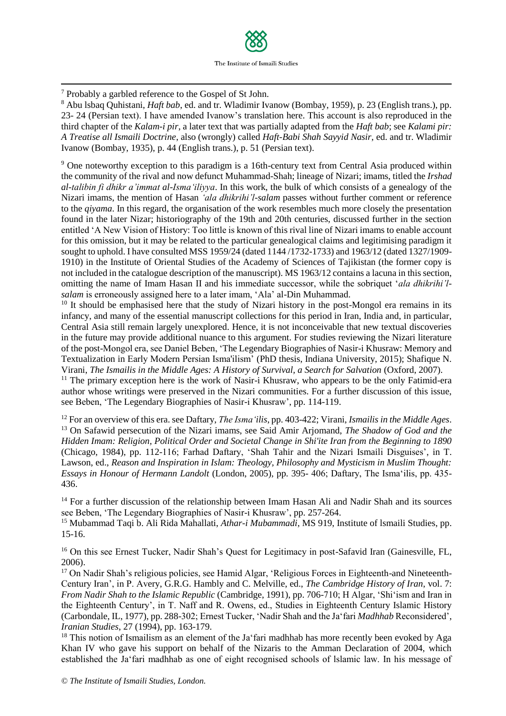**.** <sup>7</sup> Probably a garbled reference to the Gospel of St John.

<sup>8</sup> Abu lsbaq Quhistani, *Haft bab*, ed. and tr. Wladimir Ivanow (Bombay, 1959), p. 23 (English trans.), pp. 23- 24 (Persian text). I have amended Ivanow's translation here. This account is also reproduced in the third chapter of the *Kalam-i pir*, a later text that was partially adapted from the *Haft bab*; see *Kalami pir: A Treatise all Ismaili Doctrine*, also (wrongly) called *Haft-Babi Shah Sayyid Nasir*, ed. and tr. Wladimir Ivanow (Bombay, 1935), p. 44 (English trans.), p. 51 (Persian text).

<sup>9</sup> One noteworthy exception to this paradigm is a 16th-century text from Central Asia produced within the community of the rival and now defunct Muhammad-Shah; lineage of Nizari; imams, titled the *Irshad al-talibin fi dhikr a'immat al-Isma'iliyya*. In this work, the bulk of which consists of a genealogy of the Nizari imams, the mention of Hasan *'ala dhikrihi'l-salam* passes without further comment or reference to the *qiyama*. In this regard, the organisation of the work resembles much more closely the presentation found in the later Nizar; historiography of the 19th and 20th centuries, discussed further in the section entitled 'A New Vision of History: Too little is known of this rival line of Nizari imams to enable account for this omission, but it may be related to the particular genealogical claims and legitimising paradigm it sought to uphold. I have consulted MSS 1959/24 (dated 1144 /1732-1733) and 1963/12 (dated 1327/1909- 1910) in the Institute of Oriental Studies of the Academy of Sciences of Tajikistan (the former copy is not included in the catalogue description of the manuscript). MS 1963/12 contains a lacuna in this section, omitting the name of Imam Hasan II and his immediate successor, while the sobriquet '*ala dhikrihi'lsalam* is erroneously assigned here to a later imam, 'Ala' al-Din Muhammad.

<sup>10</sup> It should be emphasised here that the study of Nizari history in the post-Mongol era remains in its infancy, and many of the essential manuscript collections for this period in Iran, India and, in particular, Central Asia still remain largely unexplored. Hence, it is not inconceivable that new textual discoveries in the future may provide additional nuance to this argument. For studies reviewing the Nizari literature of the post-Mongol era, see Daniel Beben, 'The Legendary Biographies of Nasir-i Khusraw: Memory and Textualization in Early Modern Persian Isma'ilism' (PhD thesis, Indiana University, 2015); Shafique N. Virani, *The Ismailis in the Middle Ages: A History of Survival, a Search for Salvation* (Oxford, 2007).

<sup>11</sup> The primary exception here is the work of Nasir-i Khusraw, who appears to be the only Fatimid-era author whose writings were preserved in the Nizari communities. For a further discussion of this issue, see Beben, 'The Legendary Biographies of Nasir-i Khusraw', pp. 114-119.

<sup>12</sup> For an overview of this era. see Daftary, *The Isma'ilis*, pp. 403-422; Virani, *Ismailis in the Middle Ages*. <sup>13</sup> On Safawid persecution of the Nizari imams, see Said Amir Arjomand, *The Shadow of God and the Hidden Imam: Religion, Political Order and Societal Change in Shi'ite Iran from the Beginning to 1890* (Chicago, 1984), pp. 112-116; Farhad Daftary, 'Shah Tahir and the Nizari Ismaili Disguises', in T. Lawson, ed., *Reason and Inspiration in Islam: Theology, Philosophy and Mysticism in Muslim Thought: Essays in Honour of Hermann Landolt* (London, 2005), pp. 395- 406; Daftary, The Isma'ilis, pp. 435- 436.

<sup>14</sup> For a further discussion of the relationship between Imam Hasan Ali and Nadir Shah and its sources see Beben, 'The Legendary Biographies of Nasir-i Khusraw', pp. 257-264.

<sup>15</sup> Mubammad Taqi b. Ali Rida Mahallati, *Athar-i Mubammadi*, MS 919, Institute of lsmaili Studies, pp. 15-16.

<sup>16</sup> On this see Ernest Tucker, Nadir Shah's Quest for Legitimacy in post-Safavid Iran (Gainesville, FL, 2006).

<sup>17</sup> On Nadir Shah's religious policies, see Hamid Algar, 'Religious Forces in Eighteenth-and Nineteenth-Century Iran', in P. Avery, G.R.G. Hambly and C. Melville, ed., *The Cambridge History of Iran*, vol. 7: *From Nadir Shah to the Islamic Republic* (Cambridge, 1991), pp. 706-710; H Algar, 'Shi'ism and Iran in the Eighteenth Century', in T. Naff and R. Owens, ed., Studies in Eighteenth Century Islamic History (Carbondale, IL, 1977), pp. 288-302; Ernest Tucker, 'Nadir Shah and the Ja'fari *Madhhab* Reconsidered', *Iranian Studies*, 27 (1994), pp. 163-179.

<sup>18</sup> This notion of Ismailism as an element of the Ja'fari madhhab has more recently been evoked by Aga Khan IV who gave his support on behalf of the Nizaris to the Amman Declaration of 2004, which established the Ja'fari madhhab as one of eight recognised schools of lslamic law. In his message of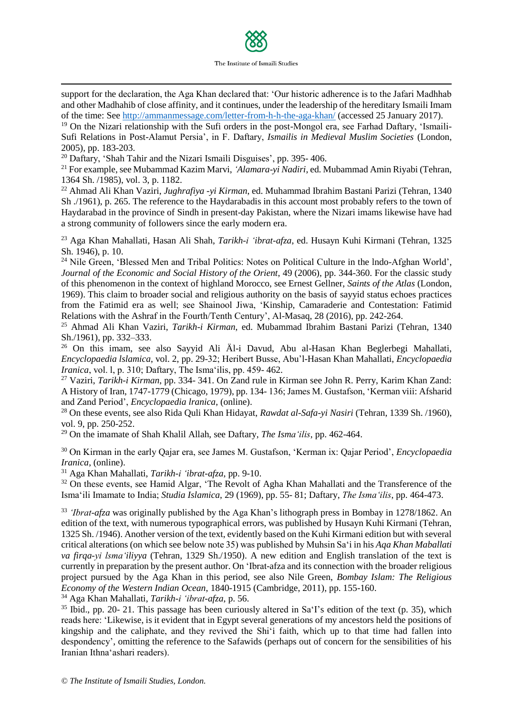support for the declaration, the Aga Khan declared that: 'Our historic adherence is to the Jafari Madhhab and other Madhahib of close affinity, and it continues, under the leadership of the hereditary Ismaili Imam of the time: See<http://ammanmessage.com/letter-from-h-h-the-aga-khan/> (accessed 25 January 2017).

<sup>19</sup> On the Nizari relationship with the Sufi orders in the post-Mongol era, see Farhad Daftary, 'Ismaili-Sufi Relations in Post-Alamut Persia', in F. Daftary, *Ismailis in Medieval Muslim Societies* (London, 2005), pp. 183-203.

 $2002$ ,  $p$ .  $p$ .  $102202$ .<br><sup>20</sup> Daftary, 'Shah Tahir and the Nizari Ismaili Disguises', pp. 395-406.

**.** 

<sup>21</sup> For example, see Mubammad Kazim Marvi, *'Alamara-yi Nadiri*, ed. Mubammad Amin Riyabi (Tehran, 1364 Sh. /1985), vol. 3, p. 1182.

<sup>22</sup> Ahmad Ali Khan Vaziri, *Jughrafiya -yi Kirman*, ed. Muhammad Ibrahim Bastani Parizi (Tehran, 1340 Sh ./1961), p. 265. The reference to the Haydarabadis in this account most probably refers to the town of Haydarabad in the province of Sindh in present-day Pakistan, where the Nizari imams likewise have had a strong community of followers since the early modern era.

<sup>23</sup> Aga Khan Mahallati, Hasan Ali Shah, *Tarikh-i 'ibrat-afza*, ed. Husayn Kuhi Kirmani (Tehran, 1325 Sh. 1946), p. 10.

<sup>24</sup> Nile Green, 'Blessed Men and Tribal Politics: Notes on Political Culture in the lndo-Afghan World', *Journal of the Economic and Social History of the Orient*, 49 (2006), pp. 344-360. For the classic study of this phenomenon in the context of highland Morocco, see Ernest Gellner, *Saints of the Atlas* (London, 1969). This claim to broader social and religious authority on the basis of sayyid status echoes practices from the Fatimid era as well; see Shainool Jiwa, 'Kinship, Camaraderie and Contestation: Fatimid Relations with the Ashraf in the Fourth/Tenth Century', Al-Masaq, 28 (2016), pp. 242-264.

<sup>25</sup> Ahmad Ali Khan Vaziri, *Tarikh-i Kirman*, ed. Mubammad Ibrahim Bastani Parizi (Tehran, 1340 Sh./1961), pp. 332–333.

<sup>26</sup> On this imam, see also Sayyid Ali Äl-i Davud, Abu al-Hasan Khan Beglerbegi Mahallati, *Encyclopaedia lslamica*, vol. 2, pp. 29-32; Heribert Busse, Abu'l-Hasan Khan Mahallati, *Encyclopaedia Iranica*, vol. l, p. 310; Daftary, The Isma'ilis, pp. 459- 462.

<sup>27</sup> Vaziri, *Tarikh-i Kirman*, pp. 334- 341. On Zand rule in Kirman see John R. Perry, Karim Khan Zand: A History of Iran, 1747-1779 (Chicago, 1979), pp. 134- 136; James M. Gustafson, 'Kerman viii: Afsharid and Zand Period', *Encyclopaedia lranica*, (online).

<sup>28</sup> On these events, see also Rida Quli Khan Hidayat, *Rawdat al-Safa-yi Nasiri* (Tehran, 1339 Sh. /1960), vol. 9, pp. 250-252.

<sup>29</sup> On the imamate of Shah Khalil Allah, see Daftary, *The Isma'ilis*, pp. 462-464.

<sup>30</sup> On Kirman in the early Qajar era, see James M. Gustafson, 'Kerman ix: Qajar Period', *Encyclopaedia Iranica*, (online).

<sup>31</sup> Aga Khan Mahallati, *Tarikh-i 'ibrat-afza*, pp. 9-10.

<sup>32</sup> On these events, see Hamid Algar, 'The Revolt of Agha Khan Mahallati and the Transference of the Isma'ili Imamate to India; *Studia Islamica*, 29 (1969), pp. 55- 81; Daftary, *The Isma'ilis*, pp. 464-473.

<sup>33</sup> *'Ibrat-afza* was originally published by the Aga Khan's lithograph press in Bombay in 1278/1862. An edition of the text, with numerous typographical errors, was published by Husayn Kuhi Kirmani (Tehran, 1325 Sh. /1946). Another version of the text, evidently based on the Kuhi Kirmani edition but with several critical alterations (on which see below note 35) was published by Muhsin Sa'i in his *Aqa Khan Maballati va firqa-yi lsma'iliyya* (Tehran, 1329 Sh./1950). A new edition and English translation of the text is currently in preparation by the present author. On 'Ibrat-afza and its connection with the broader religious project pursued by the Aga Khan in this period, see also Nile Green, *Bombay Islam: The Religious Economy of the Western Indian Ocean*, 1840-1915 (Cambridge, 2011), pp. 155-160.

<sup>34</sup> Aga Khan Mahallati, *Tarikh-i 'ibrat-afza*, p. 56.

 $35$  Ibid., pp. 20- 21. This passage has been curiously altered in Sa'I's edition of the text (p. 35), which reads here: 'Likewise, is it evident that in Egypt several generations of my ancestors held the positions of kingship and the caliphate, and they revived the Shi'i faith, which up to that time had fallen into despondency', omitting the reference to the Safawids (perhaps out of concern for the sensibilities of his Iranian Ithna'ashari readers).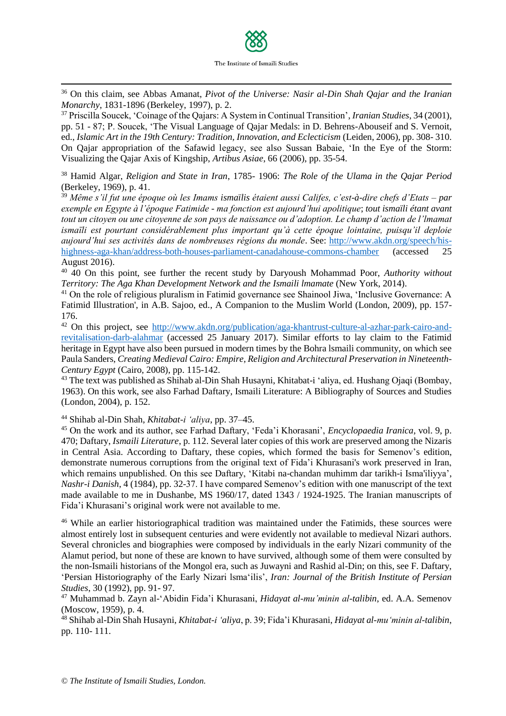<sup>36</sup> On this claim, see Abbas Amanat, *Pivot of the Universe: Nasir al-Din Shah Qajar and the Iranian Monarchy*, 1831-1896 (Berkeley, 1997), p. 2.

<sup>37</sup> Priscilla Soucek, 'Coinage of the Qajars: A System in Continual Transition', *Iranian Studies*, 34 (2001), pp. 51 - 87; P. Soucek, 'The Visual Language of Qajar Medals: in D. Behrens-Abouseif and S. Vernoit, ed., *Islamic Art in the 19th Century: Tradition, Innovation, and Eclecticism* (Leiden, 2006), pp. 308-310. On Qajar appropriation of the Safawid legacy, see also Sussan Babaie, 'In the Eye of the Storm: Visualizing the Qajar Axis of Kingship, *Artibus Asiae*, 66 (2006), pp. 35-54.

<sup>38</sup> Hamid Algar, *Religion and State in Iran*, 1785- 1906: *The Role of the Ulama in the Qajar Period*  (Berkeley, 1969), p. 41.

<sup>39</sup> *Même s'il fut une époque où les Imams ismaïlis étaient aussi Califes, c'est-à-dire chefs d'Etats* – *par exemple en Egypte à l'époque Fatimide - ma fonction est aujourd'hui apolitique*; *tout ismaïli étant avant tout un citoyen ou une citoyenne de son pays de naissance ou d'adoption. Le champ d'action de l'lmamat ismaïli est pourtant considérablement plus important qu'à cette époque lointaine, puisqu'il deploie aujourd'hui ses activités dans de nombreuses régions du monde*. See: [http://www.akdn.org/speech/his](http://www.akdn.org/speech/his-highness-aga-khan/address-both-houses-parliament-canadahouse-commons-chamber)[highness-aga-khan/address-both-houses-parliament-canadahouse-commons-chamber](http://www.akdn.org/speech/his-highness-aga-khan/address-both-houses-parliament-canadahouse-commons-chamber) (accessed 25 August 2016).

<sup>40</sup> 40 On this point, see further the recent study by Daryoush Mohammad Poor, *Authority without Territory: The Aga Khan Development Network and the Ismaili lmamate* (New York, 2014).

<sup>41</sup> On the role of religious pluralism in Fatimid governance see Shainool Jiwa, 'Inclusive Governance: A Fatimid Illustration', in A.B. Sajoo, ed., A Companion to the Muslim World (London, 2009), pp. 157- 176.

<sup>42</sup> On this project, see [http://www.akdn.org/publication/aga-khantrust-culture-al-azhar-park-cairo-and](http://www.akdn.org/publication/aga-khantrust-culture-al-azhar-park-cairo-and-revitalisation-darb-alahmar)[revitalisation-darb-alahmar](http://www.akdn.org/publication/aga-khantrust-culture-al-azhar-park-cairo-and-revitalisation-darb-alahmar) (accessed 25 January 2017). Similar efforts to lay claim to the Fatimid heritage in Egypt have also been pursued in modern times by the Bohra lsmaili community, on which see Paula Sanders, *Creating Medieval Cairo: Empire, Religion and Architectural Preservation in Nineteenth-Century Egypt* (Cairo, 2008), pp. 115-142.

<sup>43</sup> The text was published as Shihab al-Din Shah Husayni, Khitabat-i 'aliya, ed. Hushang Ojaqi (Bombay, 1963). On this work, see also Farhad Daftary, Ismaili Literature: A Bibliography of Sources and Studies (London, 2004), p. 152.

<sup>44</sup> Shihab al-Din Shah, *Khitabat-i 'aliya*, pp. 37–45.

**.** 

<sup>45</sup> On the work and its author, see Farhad Daftary, 'Feda'i Khorasani', *Encyclopaedia Iranica*, vol. 9, p. 470; Daftary, *Ismaili Literature*, p. 112. Several later copies of this work are preserved among the Nizaris in Central Asia. According to Daftary, these copies, which formed the basis for Semenov's edition, demonstrate numerous corruptions from the original text of Fida'i Khurasani's work preserved in Iran, which remains unpublished. On this see Daftary, 'Kitabi na-chandan muhimm dar tarikh-i Isma'iliyya', *Nashr-i Danish*, 4 (1984), pp. 32-37. I have compared Semenov's edition with one manuscript of the text made available to me in Dushanbe, MS 1960/17, dated 1343 / 1924-1925. The Iranian manuscripts of Fida'i Khurasani's original work were not available to me.

<sup>46</sup> While an earlier historiographical tradition was maintained under the Fatimids, these sources were almost entirely lost in subsequent centuries and were evidently not available to medieval Nizari authors. Several chronicles and biographies were composed by individuals in the early Nizari community of the Alamut period, but none of these are known to have survived, although some of them were consulted by the non-Ismaili historians of the Mongol era, such as Juwayni and Rashid al-Din; on this, see F. Daftary, 'Persian Historiography of the Early Nizari lsma'ilis', *Iran: Journal of the British Institute of Persian Studies*, 30 (1992), pp. 91- 97.

<sup>47</sup> Muhammad b. Zayn al-'Abidin Fida'i Khurasani, *Hidayat al-mu'minin al-talibin*, ed. A.A. Semenov (Moscow, 1959), p. 4.

<sup>48</sup> Shihab al-Din Shah Husayni, *Khitabat-i 'aliya*, p. 39; Fida'i Khurasani, *Hidayat al-mu'minin al-talibin*, pp. 110- 111.